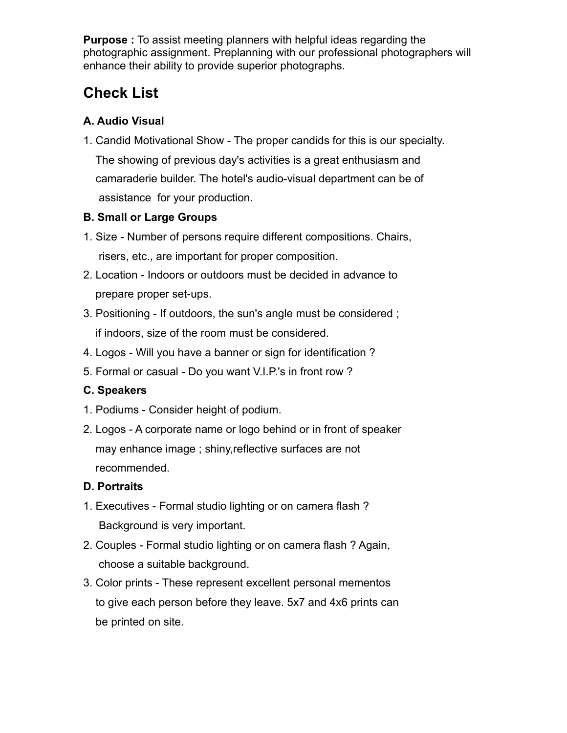**Purpose :** To assist meeting planners with helpful ideas regarding the photographic assignment. Preplanning with our professional photographers will enhance their ability to provide superior photographs.

# **Check List**

## **A. Audio Visual**

1. Candid Motivational Show - The proper candids for this is our specialty.

 The showing of previous day's activities is a great enthusiasm and camaraderie builder. The hotel's audio-visual department can be of assistance for your production.

## **B. Small or Large Groups**

- 1. Size Number of persons require different compositions. Chairs, risers, etc., are important for proper composition.
- 2. Location Indoors or outdoors must be decided in advance to prepare proper set-ups.
- 3. Positioning If outdoors, the sun's angle must be considered ; if indoors, size of the room must be considered.
- 4. Logos Will you have a banner or sign for identification ?
- 5. Formal or casual Do you want V.I.P.'s in front row ?

# **C. Speakers**

- 1. Podiums Consider height of podium.
- 2. Logos A corporate name or logo behind or in front of speaker may enhance image ; shiny,reflective surfaces are not recommended.

# **D. Portraits**

- 1. Executives Formal studio lighting or on camera flash ? Background is very important.
- 2. Couples Formal studio lighting or on camera flash ? Again, choose a suitable background.
- 3. Color prints These represent excellent personal mementos to give each person before they leave. 5x7 and 4x6 prints can be printed on site.